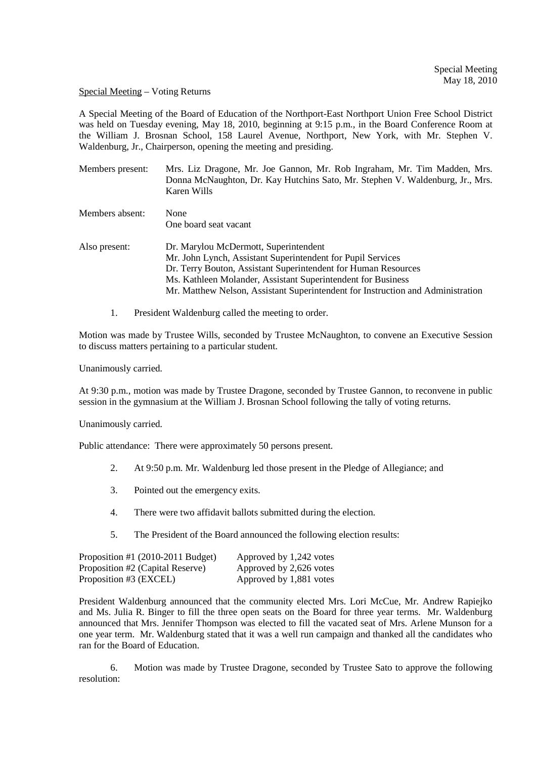## Special Meeting – Voting Returns

A Special Meeting of the Board of Education of the Northport-East Northport Union Free School District was held on Tuesday evening, May 18, 2010, beginning at 9:15 p.m., in the Board Conference Room at the William J. Brosnan School, 158 Laurel Avenue, Northport, New York, with Mr. Stephen V. Waldenburg, Jr., Chairperson, opening the meeting and presiding.

| Members present: | Mrs. Liz Dragone, Mr. Joe Gannon, Mr. Rob Ingraham, Mr. Tim Madden, Mrs.<br>Donna McNaughton, Dr. Kay Hutchins Sato, Mr. Stephen V. Waldenburg, Jr., Mrs.<br>Karen Wills |
|------------------|--------------------------------------------------------------------------------------------------------------------------------------------------------------------------|
| Members absent:  | None<br>One board seat vacant                                                                                                                                            |

- Also present: Dr. Marylou McDermott, Superintendent Mr. John Lynch, Assistant Superintendent for Pupil Services Dr. Terry Bouton, Assistant Superintendent for Human Resources Ms. Kathleen Molander, Assistant Superintendent for Business Mr. Matthew Nelson, Assistant Superintendent for Instruction and Administration
	- 1. President Waldenburg called the meeting to order.

Motion was made by Trustee Wills, seconded by Trustee McNaughton, to convene an Executive Session to discuss matters pertaining to a particular student.

Unanimously carried.

At 9:30 p.m., motion was made by Trustee Dragone, seconded by Trustee Gannon, to reconvene in public session in the gymnasium at the William J. Brosnan School following the tally of voting returns.

Unanimously carried.

Public attendance: There were approximately 50 persons present.

- 2. At 9:50 p.m. Mr. Waldenburg led those present in the Pledge of Allegiance; and
- 3. Pointed out the emergency exits.
- 4. There were two affidavit ballots submitted during the election.
- 5. The President of the Board announced the following election results:

| Proposition #1 $(2010-2011$ Budget) | Approved by 1,242 votes |
|-------------------------------------|-------------------------|
| Proposition #2 (Capital Reserve)    | Approved by 2,626 votes |
| Proposition #3 (EXCEL)              | Approved by 1,881 votes |

President Waldenburg announced that the community elected Mrs. Lori McCue, Mr. Andrew Rapiejko and Ms. Julia R. Binger to fill the three open seats on the Board for three year terms. Mr. Waldenburg announced that Mrs. Jennifer Thompson was elected to fill the vacated seat of Mrs. Arlene Munson for a one year term. Mr. Waldenburg stated that it was a well run campaign and thanked all the candidates who ran for the Board of Education.

 6. Motion was made by Trustee Dragone, seconded by Trustee Sato to approve the following resolution: